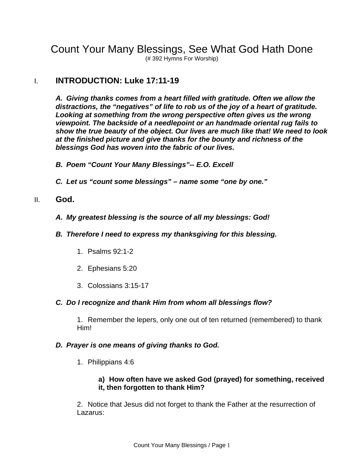Count Your Many Blessings, See What God Hath Done

(# 392 Hymns For Worship)

# I. **INTRODUCTION: Luke 17:11-19**

*A. Giving thanks comes from a heart filled with gratitude. Often we allow the distractions, the "negatives" of life to rob us of the joy of a heart of gratitude. Looking at something from the wrong perspective often gives us the wrong viewpoint. The backside of a needlepoint or an handmade oriental rug fails to show the true beauty of the object. Our lives are much like that! We need to look at the finished picture and give thanks for the bounty and richness of the blessings God has woven into the fabric of our lives.* 

*B. Poem "Count Your Many Blessings"-- E.O. Excell* 

*C. Let us "count some blessings" – name some "one by one."* 

#### II. **God.**

- *A. My greatest blessing is the source of all my blessings: God!*
- *B. Therefore I need to express my thanksgiving for this blessing.* 
	- 1. Psalms 92:1-2
	- 2. Ephesians 5:20
	- 3. Colossians 3:15-17

#### *C. Do I recognize and thank Him from whom all blessings flow?*

1. Remember the lepers, only one out of ten returned (remembered) to thank Him!

#### *D. Prayer is one means of giving thanks to God.*

1. Philippians 4:6

#### **a) How often have we asked God (prayed) for something, received it, then forgotten to thank Him?**

2. Notice that Jesus did not forget to thank the Father at the resurrection of Lazarus: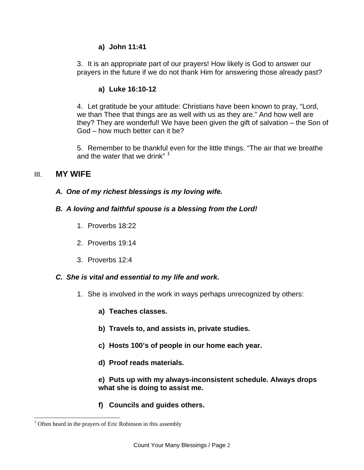#### **a) John 11:41**

3. It is an appropriate part of our prayers! How likely is God to answer our prayers in the future if we do not thank Him for answering those already past?

#### **a) Luke 16:10-12**

4. Let gratitude be your attitude: Christians have been known to pray, "Lord, we than Thee that things are as well with us as they are." And how well are they? They are wonderful! We have been given the gift of salvation – the Son of God – how much better can it be?

5. Remember to be thankful even for the little things. "The air that we breathe and the water that we drink"  $1$ 

# III. **MY WIFE**

#### *A. One of my richest blessings is my loving wife.*

### *B. A loving and faithful spouse is a blessing from the Lord!*

- 1. Proverbs 18:22
- 2. Proverbs 19:14
- 3. Proverbs 12:4

#### *C. She is vital and essential to my life and work.*

- 1. She is involved in the work in ways perhaps unrecognized by others:
	- **a) Teaches classes.**
	- **b) Travels to, and assists in, private studies.**
	- **c) Hosts 100's of people in our home each year.**
	- **d) Proof reads materials.**

**e) Puts up with my always-inconsistent schedule. Always drops what she is doing to assist me.** 

**f) Councils and guides others.** 

<span id="page-1-0"></span>l  $<sup>1</sup>$  Often heard in the prayers of Eric Robinson in this assembly</sup>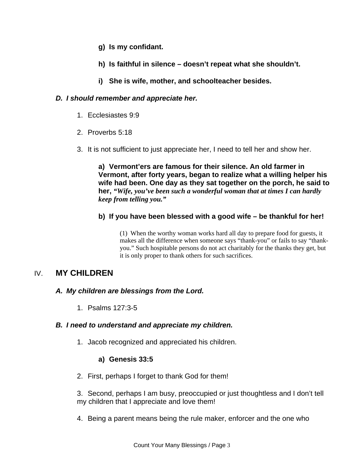- **g) Is my confidant.**
- **h) Is faithful in silence doesn't repeat what she shouldn't.**
- **i) She is wife, mother, and schoolteacher besides.**

#### *D. I should remember and appreciate her.*

- 1. Ecclesiastes 9:9
- 2. Proverbs 5:18
- 3. It is not sufficient to just appreciate her, I need to tell her and show her.

**a) Vermont'ers are famous for their silence. An old farmer in Vermont, after forty years, began to realize what a willing helper his wife had been. One day as they sat together on the porch, he said to her,** *"Wife, you've been such a wonderful woman that at times I can hardly keep from telling you."*

#### **b) If you have been blessed with a good wife – be thankful for her!**

(1) When the worthy woman works hard all day to prepare food for guests, it makes all the difference when someone says "thank-you" or fails to say "thankyou." Such hospitable persons do not act charitably for the thanks they get, but it is only proper to thank others for such sacrifices.

# IV. **MY CHILDREN**

### *A. My children are blessings from the Lord.*

1. Psalms 127:3-5

#### *B. I need to understand and appreciate my children.*

1. Jacob recognized and appreciated his children.

### **a) Genesis 33:5**

2. First, perhaps I forget to thank God for them!

3. Second, perhaps I am busy, preoccupied or just thoughtless and I don't tell my children that I appreciate and love them!

4. Being a parent means being the rule maker, enforcer and the one who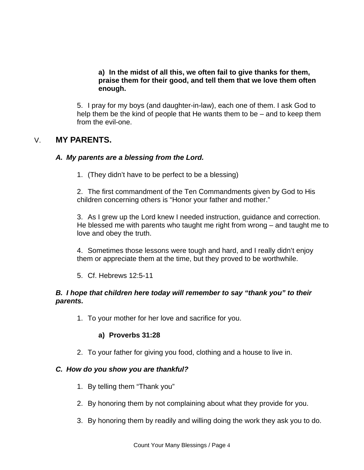#### **a) In the midst of all this, we often fail to give thanks for them, praise them for their good, and tell them that we love them often enough.**

5. I pray for my boys (and daughter-in-law), each one of them. I ask God to help them be the kind of people that He wants them to be – and to keep them from the evil-one.

# V. **MY PARENTS.**

### *A. My parents are a blessing from the Lord.*

1. (They didn't have to be perfect to be a blessing)

2. The first commandment of the Ten Commandments given by God to His children concerning others is "Honor your father and mother."

3. As I grew up the Lord knew I needed instruction, guidance and correction. He blessed me with parents who taught me right from wrong – and taught me to love and obey the truth.

4. Sometimes those lessons were tough and hard, and I really didn't enjoy them or appreciate them at the time, but they proved to be worthwhile.

5. Cf. Hebrews 12:5-11

#### *B. I hope that children here today will remember to say "thank you" to their parents.*

1. To your mother for her love and sacrifice for you.

### **a) Proverbs 31:28**

2. To your father for giving you food, clothing and a house to live in.

### *C. How do you show you are thankful?*

- 1. By telling them "Thank you"
- 2. By honoring them by not complaining about what they provide for you.
- 3. By honoring them by readily and willing doing the work they ask you to do.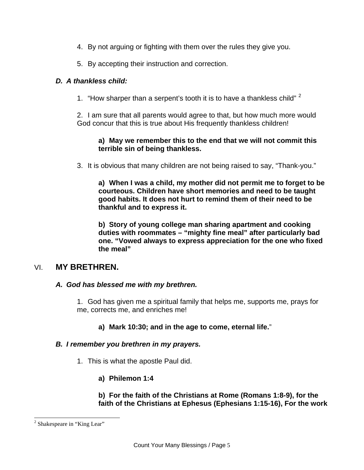- 4. By not arguing or fighting with them over the rules they give you.
- 5. By accepting their instruction and correction.

### *D. A thankless child:*

1. "How sharper than a serpent's tooth it is to have a thankless child"  $2$ 

2. I am sure that all parents would agree to that, but how much more would God concur that this is true about His frequently thankless children!

### **a) May we remember this to the end that we will not commit this terrible sin of being thankless.**

3. It is obvious that many children are not being raised to say, "Thank-you."

**a) When I was a child, my mother did not permit me to forget to be courteous. Children have short memories and need to be taught good habits. It does not hurt to remind them of their need to be thankful and to express it.** 

**b) Story of young college man sharing apartment and cooking duties with roommates – "mighty fine meal" after particularly bad one. "Vowed always to express appreciation for the one who fixed the meal"** 

# VI. **MY BRETHREN.**

### *A. God has blessed me with my brethren.*

1. God has given me a spiritual family that helps me, supports me, prays for me, corrects me, and enriches me!

# **a) Mark 10:30; and in the age to come, eternal life.**"

### *B. I remember you brethren in my prayers.*

1. This is what the apostle Paul did.

# **a) Philemon 1:4**

#### **b) For the faith of the Christians at Rome (Romans 1:8-9), for the faith of the Christians at Ephesus (Ephesians 1:15-16), For the work**

l

<span id="page-4-0"></span><sup>&</sup>lt;sup>2</sup> Shakespeare in "King Lear"